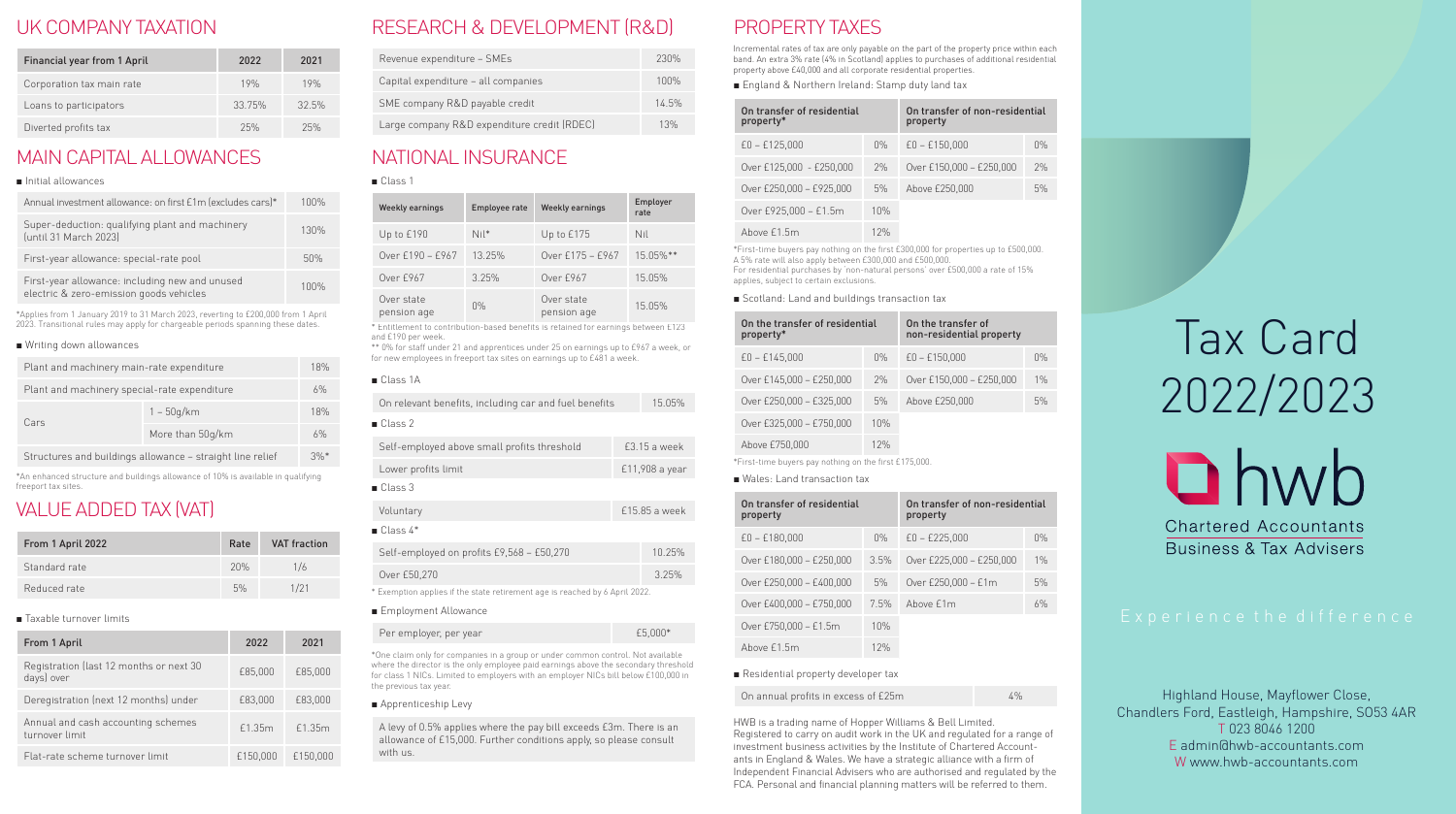### UK COMPANY TAXATION

| Financial year from 1 April | 2022   | 2021  |
|-----------------------------|--------|-------|
| Corporation tax main rate   | 19%    | 19%   |
| Loans to participators      | 33.75% | 32.5% |
| Diverted profits tax        | 25%    | 25%   |

### MAIN CAPITAL ALLOWANCES

| Annual investment allowance: on first £1m (excludes cars)*                                | 100% |
|-------------------------------------------------------------------------------------------|------|
| Super-deduction: qualifying plant and machinery<br>(until 31 March 2023)                  | 130% |
| First-year allowance: special-rate pool                                                   | 50%  |
| First-year allowance: including new and unused<br>electric & zero-emission goods vehicles | 100% |

\*Applies from 1 January 2019 to 31 March 2023, reverting to £200,000 from 1 April 2023. Transitional rules may apply for chargeable periods spanning these dates.

#### ■ Writing down allowances

| Plant and machinery main-rate expenditure                 |                  | 18% |
|-----------------------------------------------------------|------------------|-----|
| Plant and machinery special-rate expenditure              |                  | 6%  |
| Cars                                                      | $1 - 50q/km$     | 18% |
|                                                           | More than 50g/km | 6%  |
| Structures and buildings allowance - straight line relief |                  | 3%  |

\*An enhanced structure and buildings allowance of 10% is available in qualifying freeport tax sites.

# VALUE ADDED TAX (VAT)

| From 1 April 2022 | Rate | <b>VAT</b> fraction |
|-------------------|------|---------------------|
| Standard rate     | 20%  | 1/6                 |
| Reduced rate      | 5%   | 1/21                |

■ Taxable turnover limits

| From 1 April                                          | 2022     | 2021     |
|-------------------------------------------------------|----------|----------|
| Registration (last 12 months or next 30<br>days) over | £85.000  | £85,000  |
| Deregistration (next 12 months) under                 | £83.000  | £83,000  |
| Annual and cash accounting schemes<br>turnover limit  | £1.35m   | £1.35m   |
| Flat-rate scheme turnover limit                       | £150.000 | £150,000 |

# RESEARCH & DEVELOPMENT (R&D)

| Revenue expenditure - SMEs                  | 230%  |
|---------------------------------------------|-------|
| Capital expenditure - all companies         | 100%  |
| SME company R&D payable credit              | 14.5% |
| Large company R&D expenditure credit (RDEC) | 13%   |

# NATIONAL INSURANCE

■ Class 1

| <b>Weekly earnings</b>    | <b>Employee rate</b> | <b>Weekly earnings</b>    | Employer<br>rate |
|---------------------------|----------------------|---------------------------|------------------|
| Up to £190                | $Nil*$               | Up to £175                | Nil              |
| Over £190 - £967          | 13.25%               | Over £175 - £967          | 15.05%**         |
| Over £967                 | 3.25%                | Over £967                 | 15.05%           |
| Over state<br>pension age | 0%                   | Over state<br>pension age | 15.05%           |

\* Entitlement to contribution-based benefits is retained for earnings between £123 and £190 per week.

\*\* 0% for staff under 21 and apprentices under 25 on earnings up to £967 a week, or for new employees in freeport tax sites on earnings up to £481 a week.

#### ■ Class 1A On relevant benefits, including car and fuel benefits 15.05% ■ Class 2 Self-employed above small profits threshold £3.15 a week Lower profits limit £11,908 a year ■ Class 3 Voluntary £15.85 a week

|  | $\blacksquare$ Class 4* |  |  |  |  |
|--|-------------------------|--|--|--|--|
|--|-------------------------|--|--|--|--|

| Self-employed on profits £9,568 - £50,270                                   | 10.25% |
|-----------------------------------------------------------------------------|--------|
| Over £50,270                                                                | 3.25%  |
| * Exemption applies if the state retirement age is reached by 6 April 2022. |        |

#### ■ Employment Allowance

| Per employer, per year                                                          | £5,000* |
|---------------------------------------------------------------------------------|---------|
| *One claim only for companies in a group or under common control. Not available |         |

where the director is the only employee paid earnings above the secondary threshold for class 1 NICs. Limited to employers with an employer NICs bill below £100,000 in the previous tax year.

#### ■ Apprenticeship Levy

A levy of 0.5% applies where the pay bill exceeds £3m. There is an allowance of £15,000. Further conditions apply, so please consult with us.

# PROPERTY TAXES

Incremental rates of tax are only payable on the part of the property price within each band. An extra 3% rate (4% in Scotland) applies to purchases of additional residential property above £40,000 and all corporate residential properties.

■ England & Northern Ireland: Stamp duty land tax

| On transfer of residential<br>property* |     | On transfer of non-residential<br>property |    |
|-----------------------------------------|-----|--------------------------------------------|----|
| $£0 - £125.000$                         | 0%  | $£0 - £150.000$                            | 0% |
| Over £125,000 - £250,000                | 2%  | Over £150,000 - £250,000                   | 2% |
| Over £250,000 - £925,000                | 5%  | Above £250,000                             | 5% |
| Over £925,000 - £1.5m                   | 10% |                                            |    |
| Above £1.5m                             | 12% |                                            |    |

\*First-time buyers pay nothing on the first £300,000 for properties up to £500,000. A 5% rate will also apply between £300,000 and £500,000. For residential purchases by 'non-natural persons' over £500,000 a rate of 15% applies, subject to certain exclusions.

#### ■ Scotland: Land and buildings transaction tax

| On the transfer of residential<br>property*            | On the transfer of<br>non-residential property |                          |    |  |  |  |
|--------------------------------------------------------|------------------------------------------------|--------------------------|----|--|--|--|
| $E0 - E145,000$                                        | 0%                                             | $£0 - £150.000$          | 0% |  |  |  |
| Over £145,000 - £250,000                               | 2%                                             | Over £150,000 - £250,000 | 1% |  |  |  |
| Over £250,000 - £325,000                               | 5%                                             | Above £250,000           | 5% |  |  |  |
| Over £325,000 - £750,000                               | 10%                                            |                          |    |  |  |  |
| Above £750,000                                         |                                                |                          |    |  |  |  |
| Floot time business pour pothing on the first C17E 000 |                                                |                          |    |  |  |  |

\*First-time buyers pay nothing on the first £175,000.

|  |  |  | Wales: Land transaction tax |  |  |
|--|--|--|-----------------------------|--|--|
|--|--|--|-----------------------------|--|--|

| On transfer of residential<br>property |      | On transfer of non-residential<br>property |    |  |
|----------------------------------------|------|--------------------------------------------|----|--|
| $£0 - £180.000$                        | 0%   | $£0 - £225.000$                            | 0% |  |
| Over £180,000 - £250,000               | 3.5% | Over £225,000 - £250,000                   | 1% |  |
| Over £250,000 - £400,000               | 5%   | Over £250,000 - £1m                        | 5% |  |
| Over £400,000 - £750,000               | 7.5% | Above f1m                                  | 6% |  |
| Over £750,000 - £1.5m                  | 10%  |                                            |    |  |
| Above £1.5m                            | 12%  |                                            |    |  |

■ Residential property developer tax

On annual profits in excess of £25m 4%

HWB is a trading name of Hopper Williams & Bell Limited. Registered to carry on audit work in the UK and regulated for a range of investment business activities by the Institute of Chartered Accountants in England & Wales. We have a strategic alliance with a firm of Independent Financial Advisers who are authorised and regulated by the FCA. Personal and financial planning matters will be referred to them.

# Tax Card 2022/2023



Business & Tax Advisers

Highland House, Mayflower Close, Chandlers Ford, Eastleigh, Hampshire, SO53 4AR T 023 8046 1200 E admin@hwb-accountants.com W www.hwb-accountants.com